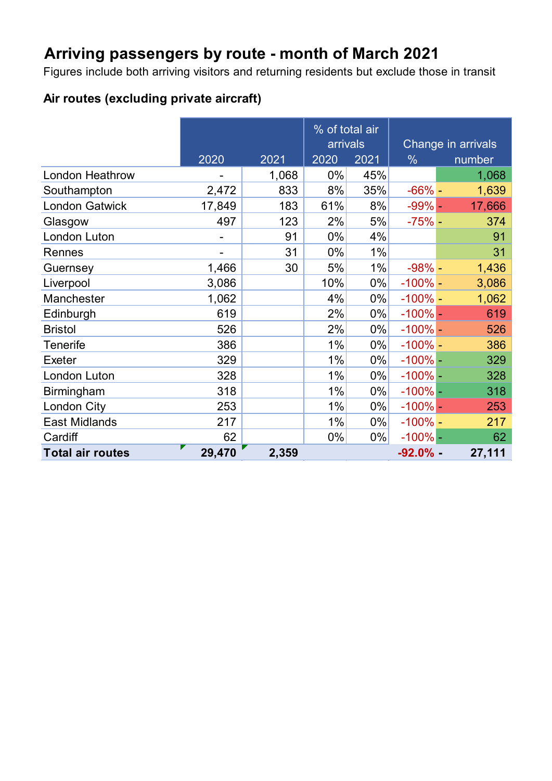## **Arriving passengers by route - month of March 2021**

Figures include both arriving visitors and returning residents but exclude those in transit

### **Air routes (excluding private aircraft)**

|                         |        |       | % of total air |       |                    |        |
|-------------------------|--------|-------|----------------|-------|--------------------|--------|
|                         |        |       | arrivals       |       | Change in arrivals |        |
|                         | 2020   | 2021  | 2020           | 2021  | $\frac{0}{0}$      | number |
| <b>London Heathrow</b>  |        | 1,068 | 0%             | 45%   |                    | 1,068  |
| Southampton             | 2,472  | 833   | 8%             | 35%   | $-66%$ -           | 1,639  |
| <b>London Gatwick</b>   | 17,849 | 183   | 61%            | 8%    | $-99%$ -           | 17,666 |
| Glasgow                 | 497    | 123   | 2%             | 5%    | $-75%$ -           | 374    |
| London Luton            |        | 91    | 0%             | 4%    |                    | 91     |
| Rennes                  |        | 31    | 0%             | 1%    |                    | 31     |
| Guernsey                | 1,466  | 30    | 5%             | 1%    | $-98% -$           | 1,436  |
| Liverpool               | 3,086  |       | 10%            | $0\%$ | $-100\%$ -         | 3,086  |
| Manchester              | 1,062  |       | 4%             | $0\%$ | $-100\%$ -         | 1,062  |
| Edinburgh               | 619    |       | 2%             | $0\%$ | $-100\%$ -         | 619    |
| <b>Bristol</b>          | 526    |       | 2%             | $0\%$ | $-100\%$ -         | 526    |
| <b>Tenerife</b>         | 386    |       | 1%             | $0\%$ | $-100\%$ -         | 386    |
| <b>Exeter</b>           | 329    |       | 1%             | $0\%$ | $-100\%$ -         | 329    |
| London Luton            | 328    |       | 1%             | $0\%$ | $-100\%$ -         | 328    |
| Birmingham              | 318    |       | 1%             | $0\%$ | $-100\%$ –         | 318    |
| London City             | 253    |       | 1%             | $0\%$ | $-100\%$ -         | 253    |
| <b>East Midlands</b>    | 217    |       | 1%             | $0\%$ | $-100\%$ -         | 217    |
| Cardiff                 | 62     |       | 0%             | $0\%$ | $-100\%$ -         | 62     |
| <b>Total air routes</b> | 29,470 | 2,359 |                |       | $-92.0\%$ -        | 27,111 |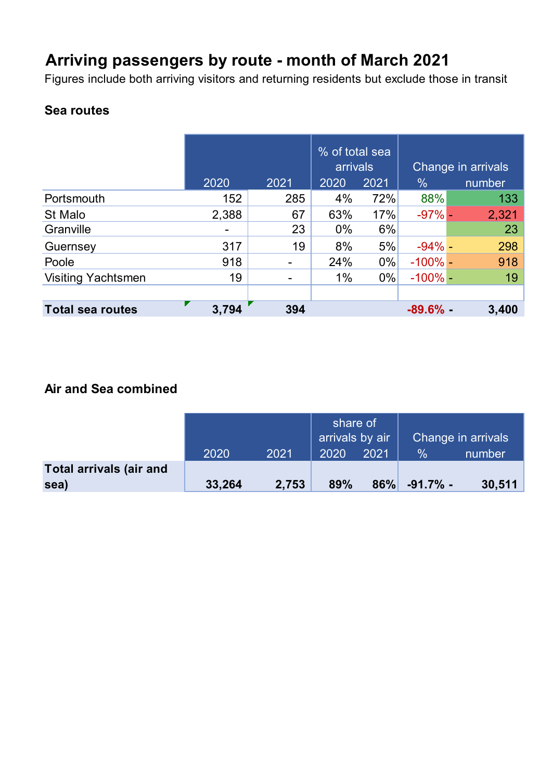## **Arriving passengers by route - month of March 2021**

Figures include both arriving visitors and returning residents but exclude those in transit

### **Sea routes**

|                           | 2020  | 2021           | % of total sea<br>arrivals<br>2020 | 2021  | $\frac{0}{0}$ | Change in arrivals<br>number |
|---------------------------|-------|----------------|------------------------------------|-------|---------------|------------------------------|
| Portsmouth                | 152   | 285            | 4%                                 | 72%   | 88%           | 133                          |
| St Malo                   | 2,388 | 67             | 63%                                | 17%   | $-97%$ -      | 2,321                        |
| Granville                 |       | 23             | $0\%$                              | 6%    |               | 23                           |
| Guernsey                  | 317   | 19             | 8%                                 | 5%    | $-94\%$ –     | 298                          |
| Poole                     | 918   | $\blacksquare$ | 24%                                | $0\%$ | $-100\%$ -    | 918                          |
| <b>Visiting Yachtsmen</b> | 19    | $\blacksquare$ | $1\%$                              | $0\%$ | $-100\%$ -    | 19                           |
|                           |       |                |                                    |       |               |                              |
| <b>Total sea routes</b>   | 3,794 | 394            |                                    |       | $-89.6%$ -    | 3,400                        |

#### **Air and Sea combined**

|                         |        |       | share of<br>arrivals by air |      | Change in arrivals |        |
|-------------------------|--------|-------|-----------------------------|------|--------------------|--------|
|                         | 2020   | 2021  | 2020                        | 2021 | %                  | number |
| Total arrivals (air and |        |       |                             |      |                    |        |
| sea)                    | 33,264 | 2,753 | 89%                         |      | $86\%$ -91.7% -    | 30,511 |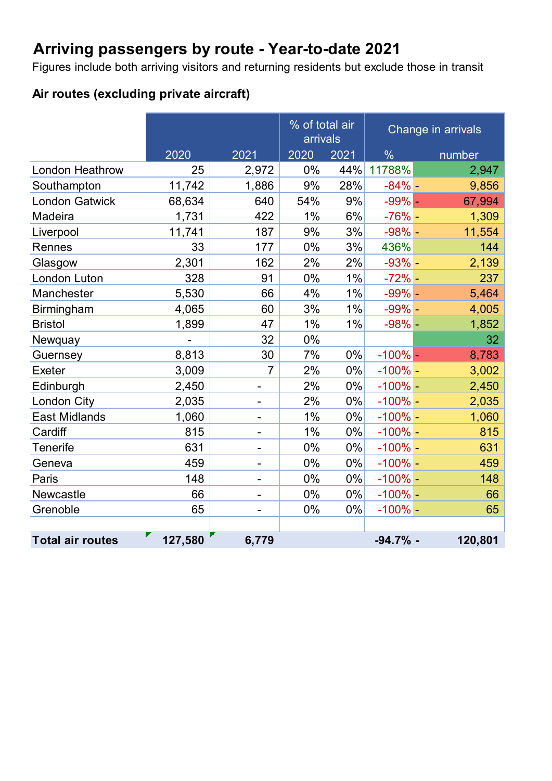## **Arriving passengers by route - Year-to-date 2021**

Figures include both arriving visitors and returning residents but exclude those in transit

### **Air routes (excluding private aircraft)**

|                         |         |                          | % of total air<br>arrivals |       |               | Change in arrivals |  |
|-------------------------|---------|--------------------------|----------------------------|-------|---------------|--------------------|--|
|                         | 2020    | 2021                     | 2020                       | 2021  | $\frac{0}{0}$ | number             |  |
| <b>London Heathrow</b>  | 25      | 2,972                    | 0%                         | 44%   | 11788%        | 2,947              |  |
| Southampton             | 11,742  | 1,886                    | 9%                         | 28%   | $-84%$ -      | 9,856              |  |
| <b>London Gatwick</b>   | 68,634  | 640                      | 54%                        | 9%    | $-99%$ -      | 67,994             |  |
| Madeira                 | 1,731   | 422                      | 1%                         | 6%    | $-76%$ -      | 1,309              |  |
| Liverpool               | 11,741  | 187                      | 9%                         | 3%    | $-98% -$      | 11,554             |  |
| Rennes                  | 33      | 177                      | 0%                         | 3%    | 436%          | 144                |  |
| Glasgow                 | 2,301   | 162                      | 2%                         | 2%    | $-93%$ -      | 2,139              |  |
| London Luton            | 328     | 91                       | 0%                         | $1\%$ | $-72% -$      | 237                |  |
| Manchester              | 5,530   | 66                       | 4%                         | 1%    | $-99% -$      | 5,464              |  |
| <b>Birmingham</b>       | 4,065   | 60                       | 3%                         | $1\%$ | $-99% -$      | 4,005              |  |
| <b>Bristol</b>          | 1,899   | 47                       | 1%                         | $1\%$ | $-98%$ -      | 1,852              |  |
| Newquay                 |         | 32                       | 0%                         |       |               | 32                 |  |
| Guernsey                | 8,813   | 30                       | 7%                         | 0%    | $-100%$ –     | 8,783              |  |
| <b>Exeter</b>           | 3,009   | $\overline{7}$           | 2%                         | 0%    | $-100\%$ -    | 3,002              |  |
| Edinburgh               | 2,450   | $\overline{\phantom{a}}$ | 2%                         | $0\%$ | $-100\%$ -    | 2,450              |  |
| London City             | 2,035   | $\overline{\phantom{a}}$ | 2%                         | 0%    | $-100\%$ -    | 2,035              |  |
| <b>East Midlands</b>    | 1,060   | $\blacksquare$           | 1%                         | 0%    | $-100\%$ -    | 1,060              |  |
| Cardiff                 | 815     | $\blacksquare$           | 1%                         | $0\%$ | $-100\%$ -    | 815                |  |
| <b>Tenerife</b>         | 631     | $\overline{\phantom{a}}$ | 0%                         | 0%    | $-100\%$ -    | 631                |  |
| Geneva                  | 459     | $\blacksquare$           | 0%                         | 0%    | $-100\%$ -    | 459                |  |
| Paris                   | 148     | $\overline{\phantom{a}}$ | 0%                         | $0\%$ | $-100\%$ -    | 148                |  |
| Newcastle               | 66      | $\overline{\phantom{a}}$ | 0%                         | 0%    | $-100%$ -     | 66                 |  |
| Grenoble                | 65      | $\blacksquare$           | 0%                         | 0%    | $-100\%$ -    | 65                 |  |
|                         |         |                          |                            |       |               |                    |  |
| <b>Total air routes</b> | 127,580 | 6,779                    |                            |       | $-94.7%$ -    | 120,801            |  |